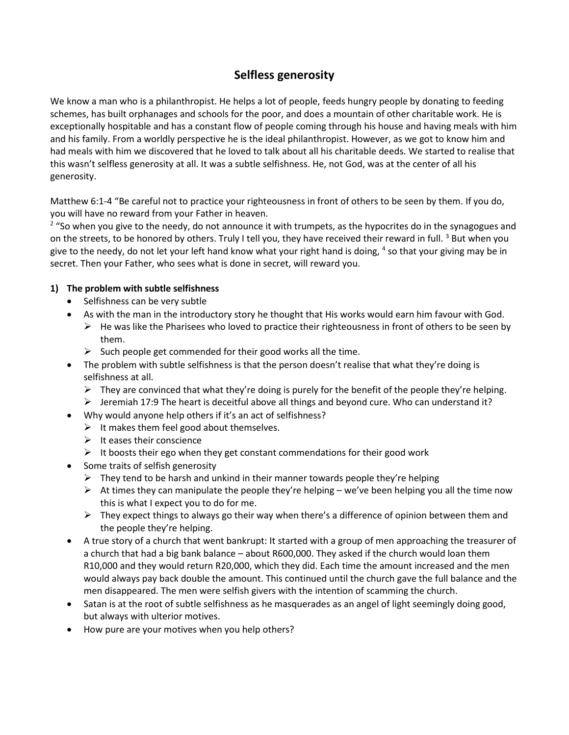## **Selfless generosity**

We know a man who is a philanthropist. He helps a lot of people, feeds hungry people by donating to feeding schemes, has built orphanages and schools for the poor, and does a mountain of other charitable work. He is exceptionally hospitable and has a constant flow of people coming through his house and having meals with him and his family. From a worldly perspective he is the ideal philanthropist. However, as we got to know him and had meals with him we discovered that he loved to talk about all his charitable deeds. We started to realise that this wasn't selfless generosity at all. It was a subtle selfishness. He, not God, was at the center of all his generosity.

Matthew 6:1-4 "Be careful not to practice your righteousness in front of others to be seen by them. If you do, you will have no reward from your Father in heaven.

<sup>2</sup> "So when you give to the needy, do not announce it with trumpets, as the hypocrites do in the synagogues and on the streets, to be honored by others. Truly I tell you, they have received their reward in full. <sup>3</sup> But when you give to the needy, do not let your left hand know what your right hand is doing, <sup>4</sup> so that your giving may be in secret. Then your Father, who sees what is done in secret, will reward you.

## **1) The problem with subtle selfishness**

- Selfishness can be very subtle
- As with the man in the introductory story he thought that His works would earn him favour with God.
	- $\triangleright$  He was like the Pharisees who loved to practice their righteousness in front of others to be seen by them.
	- $\triangleright$  Such people get commended for their good works all the time.
- The problem with subtle selfishness is that the person doesn't realise that what they're doing is selfishness at all.
	- $\triangleright$  They are convinced that what they're doing is purely for the benefit of the people they're helping.
	- $\triangleright$  Jeremiah 17:9 The heart is deceitful above all things and beyond cure. Who can understand it?
- Why would anyone help others if it's an act of selfishness?
	- $\triangleright$  It makes them feel good about themselves.
	- $\triangleright$  It eases their conscience
	- $\triangleright$  It boosts their ego when they get constant commendations for their good work
- Some traits of selfish generosity
	- $\triangleright$  They tend to be harsh and unkind in their manner towards people they're helping
	- $\triangleright$  At times they can manipulate the people they're helping we've been helping you all the time now this is what I expect you to do for me.
	- $\triangleright$  They expect things to always go their way when there's a difference of opinion between them and the people they're helping.
- A true story of a church that went bankrupt: It started with a group of men approaching the treasurer of a church that had a big bank balance – about R600,000. They asked if the church would loan them R10,000 and they would return R20,000, which they did. Each time the amount increased and the men would always pay back double the amount. This continued until the church gave the full balance and the men disappeared. The men were selfish givers with the intention of scamming the church.
- Satan is at the root of subtle selfishness as he masquerades as an angel of light seemingly doing good, but always with ulterior motives.
- How pure are your motives when you help others?